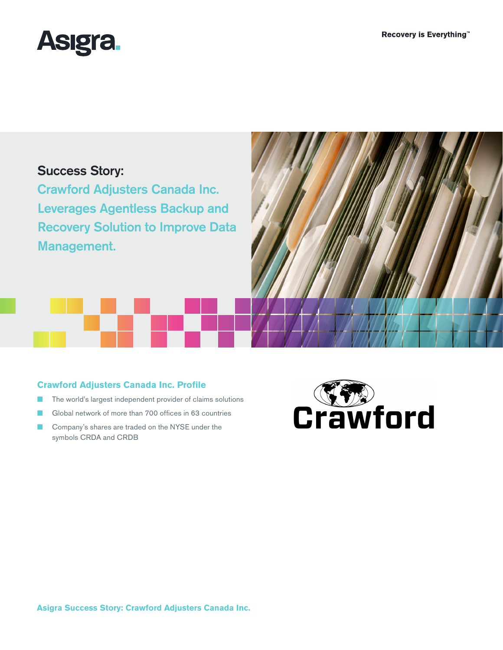

# Success Story:

Crawford Adjusters Canada Inc. Leverages Agentless Backup and Recovery Solution to Improve Data Management.

## **Crawford Adjusters Canada Inc. Profile**

- The world's largest independent provider of claims solutions
- Global network of more than 700 offices in 63 countries
- Company's shares are traded on the NYSE under the symbols CRDA and CRDB



**Asigra Success Story: Crawford Adjusters Canada Inc.**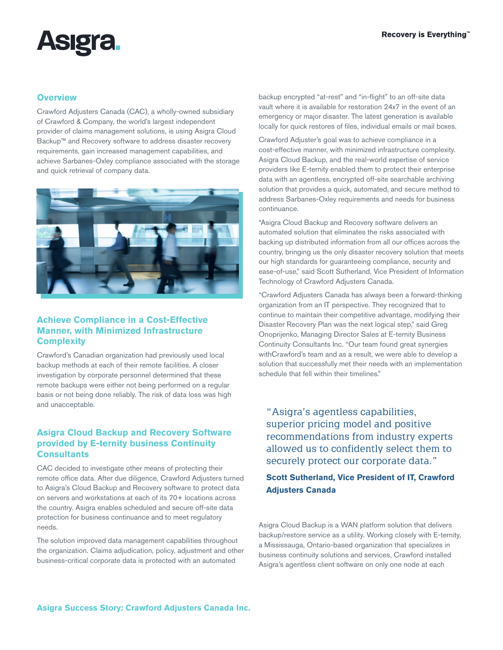

#### **Overview**

Crawford Adjusters Canada (CAC), a wholly-owned subsidiary of Crawford & Company, the world's largest independent provider of claims management solutions, is using Asigra Cloud Backup™ and Recovery software to address disaster recovery requirements, gain increased management capabilities, and achieve Sarbanes-Oxley compliance associated with the storage and quick retrieval of company data.



## **Achieve Compliance in a Cost-Effective Manner, with Minimized Infrastructure Complexity**

Crawford's Canadian organization had previously used local backup methods at each of their remote facilities. A closer investigation by corporate personnel determined that these remote backups were either not being performed on a regular basis or not being done reliably. The risk of data loss was high and unacceptable.

### **Asigra Cloud Backup and Recovery Software provided by E-ternity business Continuity Consultants**

CAC decided to investigate other means of protecting their remote office data. After due diligence, Crawford Adjusters turned to Asigra's Cloud Backup and Recovery software to protect data on servers and workstations at each of its 70+ locations across the country. Asigra enables scheduled and secure off-site data protection for business continuance and to meet regulatory needs.

The solution improved data management capabilities throughout the organization. Claims adjudication, policy, adjustment and other business-critical corporate data is protected with an automated

backup encrypted "at-rest" and "in-flight" to an off-site data vault where it is available for restoration 24x7 in the event of an emergency or major disaster. The latest generation is available locally for quick restores of files, individual emails or mail boxes.

Crawford Adjuster's goal was to achieve compliance in a cost-effective manner, with minimized infrastructure complexity. Asigra Cloud Backup, and the real-world expertise of service providers like E-ternity enabled them to protect their enterprise data with an agentless, encrypted off-site searchable archiving solution that provides a quick, automated, and secure method to address Sarbanes-Oxley requirements and needs for business continuance.

"Asigra Cloud Backup and Recovery software delivers an automated solution that eliminates the risks associated with backing up distributed information from all our offices across the country, bringing us the only disaster recovery solution that meets our high standards for guaranteeing compliance, security and ease-of-use," said Scott Sutherland, Vice President of Information Technology of Crawford Adjusters Canada.

"Crawford Adjusters Canada has always been a forward-thinking organization from an IT perspective. They recognized that to continue to maintain their competitive advantage, modifying their Disaster Recovery Plan was the next logical step," said Greg Onoprijenko, Managing Director Sales at E-ternity Business Continuity Consultants Inc. "Our team found great synergies withCrawford's team and as a result, we were able to develop a solution that successfully met their needs with an implementation schedule that fell within their timelines."

"Asigra's agentless capabilities, superior pricing model and positive recommendations from industry experts allowed us to confidently select them to securely protect our corporate data."

# **Scott Sutherland, Vice President of IT, Crawford Adjusters Canada**

Asigra Cloud Backup is a WAN platform solution that delivers backup/restore service as a utility. Working closely with E-ternity, a Mississauga, Ontario-based organization that specializes in business continuity solutions and services, Crawford installed Asigra's agentless client software on only one node at each